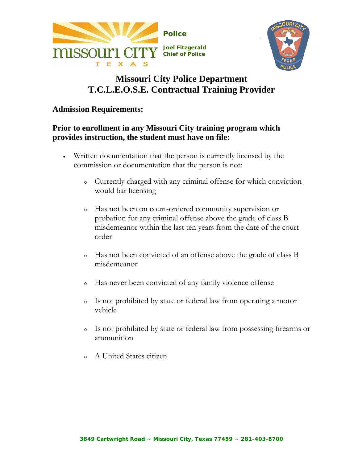



# **Missouri City Police Department T.C.L.E.O.S.E. Contractual Training Provider**

### **Admission Requirements:**

## **Prior to enrollment in any Missouri City training program which provides instruction, the student must have on file:**

- Written documentation that the person is currently licensed by the commission or documentation that the person is not:
	- <sup>o</sup> Currently charged with any criminal offense for which conviction would bar licensing
	- <sup>o</sup> Has not been on court-ordered community supervision or probation for any criminal offense above the grade of class B misdemeanor within the last ten years from the date of the court order
	- <sup>o</sup> Has not been convicted of an offense above the grade of class B misdemeanor
	- <sup>o</sup> Has never been convicted of any family violence offense
	- <sup>o</sup> Is not prohibited by state or federal law from operating a motor vehicle
	- <sup>o</sup> Is not prohibited by state or federal law from possessing firearms or ammunition
	- <sup>o</sup> A United States citizen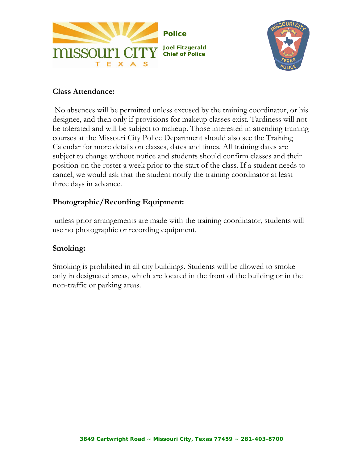



## **Class Attendance:**

 No absences will be permitted unless excused by the training coordinator, or his designee, and then only if provisions for makeup classes exist. Tardiness will not be tolerated and will be subject to makeup. Those interested in attending training courses at the Missouri City Police Department should also see the [Training](http://www.humblepolice.com/pdf/2009%20HPD%20training%20schedule.pdf)  [Calendar](http://www.humblepolice.com/pdf/2009%20HPD%20training%20schedule.pdf) for more details on classes, dates and times. All training dates are subject to change without notice and students should confirm classes and their position on the roster a week prior to the start of the class. If a student needs to cancel, we would ask that the student notify the training coordinator at least three days in advance.

# **Photographic/Recording Equipment:**

 unless prior arrangements are made with the training coordinator, students will use no photographic or recording equipment.

## **Smoking:**

Smoking is prohibited in all city buildings. Students will be allowed to smoke only in designated areas, which are located in the front of the building or in the non-traffic or parking areas.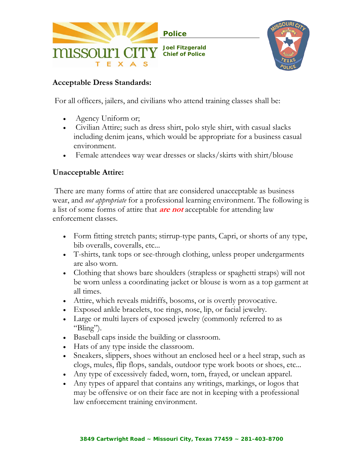



## **Acceptable Dress Standards:**

For all officers, jailers, and civilians who attend training classes shall be:

- Agency Uniform or;
- Civilian Attire; such as dress shirt, polo style shirt, with casual slacks including denim jeans, which would be appropriate for a business casual environment.
- Female attendees way wear dresses or slacks/skirts with shirt/blouse

## **Unacceptable Attire:**

 There are many forms of attire that are considered unacceptable as business wear, and *not appropriate* for a professional learning environment. The following is a list of some forms of attire that **are not** acceptable for attending law enforcement classes.

- Form fitting stretch pants; stirrup-type pants, Capri, or shorts of any type, bib overalls, coveralls, etc...
- T-shirts, tank tops or see-through clothing, unless proper undergarments are also worn.
- Clothing that shows bare shoulders (strapless or spaghetti straps) will not be worn unless a coordinating jacket or blouse is worn as a top garment at all times.
- Attire, which reveals midriffs, bosoms, or is overtly provocative.
- Exposed ankle bracelets, toe rings, nose, lip, or facial jewelry.
- Large or multi layers of exposed jewelry (commonly referred to as "Bling").
- Baseball caps inside the building or classroom.
- Hats of any type inside the classroom.
- Sneakers, slippers, shoes without an enclosed heel or a heel strap, such as clogs, mules, flip flops, sandals, outdoor type work boots or shoes, etc...
- Any type of excessively faded, worn, torn, frayed, or unclean apparel.
- Any types of apparel that contains any writings, markings, or logos that may be offensive or on their face are not in keeping with a professional law enforcement training environment.